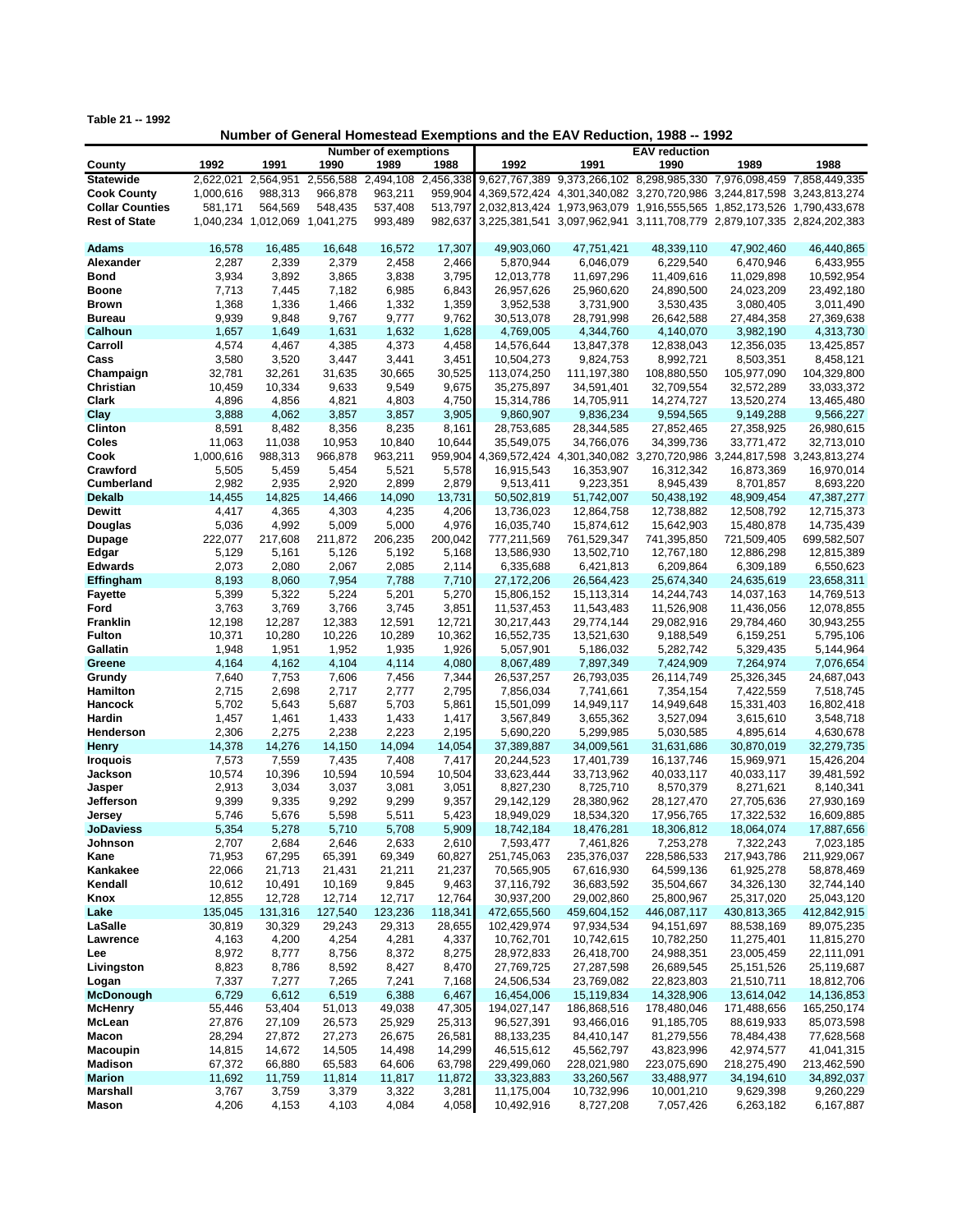**Table 21 -- 1992**

## **Number of General Homestead Exemptions and the EAV Reduction, 1988 -- 1992**

|                        |           | <b>Number of exemptions</b>   |                     |           |           |                                                                               |             |                                                         |             |               |
|------------------------|-----------|-------------------------------|---------------------|-----------|-----------|-------------------------------------------------------------------------------|-------------|---------------------------------------------------------|-------------|---------------|
| County                 | 1992      | 1991                          | 1990                | 1989      | 1988      | 1992                                                                          | 1991        | 1990                                                    | 1989        | 1988          |
| <b>Statewide</b>       | 2,622,021 |                               | 2,564,951 2,556,588 | 2,494,108 | 2,456,338 |                                                                               |             | 9,627,767,389 9,373,266,102 8,298,985,330 7,976,098,459 |             | 7,858,449,335 |
| <b>Cook County</b>     | 1,000,616 | 988,313                       | 966,878             | 963,211   |           | 959,904 4,369,572,424 4,301,340,082 3,270,720,986 3,244,817,598 3,243,813,274 |             |                                                         |             |               |
| <b>Collar Counties</b> | 581,171   | 564,569                       | 548,435             | 537,408   |           | 513,797 2,032,813,424 1,973,963,079 1,916,555,565 1,852,173,526 1,790,433,678 |             |                                                         |             |               |
| <b>Rest of State</b>   |           | 1,040,234 1,012,069 1,041,275 |                     | 993,489   |           | 982,637 3,225,381,541 3,097,962,941 3,111,708,779 2,879,107,335 2,824,202,383 |             |                                                         |             |               |
|                        |           |                               |                     |           |           |                                                                               |             |                                                         |             |               |
| Adams                  | 16,578    | 16.485                        | 16,648              | 16,572    | 17,307    | 49.903.060                                                                    | 47,751,421  | 48,339,110                                              | 47,902,460  | 46,440,865    |
| Alexander              | 2,287     | 2,339                         | 2,379               | 2,458     | 2,466     | 5,870,944                                                                     | 6,046,079   | 6,229,540                                               | 6,470,946   | 6,433,955     |
|                        |           |                               |                     |           |           |                                                                               |             |                                                         |             |               |
| <b>Bond</b>            | 3,934     | 3,892                         | 3,865               | 3,838     | 3,795     | 12,013,778                                                                    | 11,697,296  | 11,409,616                                              | 11,029,898  | 10,592,954    |
| <b>Boone</b>           | 7,713     | 7,445                         | 7,182               | 6,985     | 6,843     | 26,957,626                                                                    | 25,960,620  | 24,890,500                                              | 24,023,209  | 23,492,180    |
| <b>Brown</b>           | 1,368     | 1,336                         | 1,466               | 1,332     | 1,359     | 3,952,538                                                                     | 3,731,900   | 3,530,435                                               | 3,080,405   | 3,011,490     |
| <b>Bureau</b>          | 9,939     | 9,848                         | 9,767               | 9,777     | 9,762     | 30,513,078                                                                    | 28,791,998  | 26,642,588                                              | 27,484,358  | 27,369,638    |
| Calhoun                | 1,657     | 1,649                         | 1,631               | 1,632     | 1,628     | 4,769,005                                                                     | 4,344,760   | 4,140,070                                               | 3,982,190   | 4,313,730     |
| Carroll                | 4,574     | 4,467                         | 4,385               | 4,373     | 4,458     | 14,576,644                                                                    | 13,847,378  | 12,838,043                                              | 12,356,035  | 13,425,857    |
| Cass                   | 3,580     | 3,520                         | 3,447               | 3,441     | 3,451     | 10,504,273                                                                    | 9,824,753   | 8,992,721                                               | 8,503,351   | 8,458,121     |
| Champaign              | 32,781    | 32,261                        | 31,635              | 30,665    | 30,525    | 113,074,250                                                                   | 111,197,380 | 108,880,550                                             | 105,977,090 | 104,329,800   |
| Christian              | 10,459    | 10,334                        | 9,633               | 9,549     | 9,675     | 35,275,897                                                                    | 34,591,401  | 32,709,554                                              | 32,572,289  | 33,033,372    |
| Clark                  | 4,896     | 4,856                         | 4,821               | 4,803     | 4,750     | 15,314,786                                                                    | 14,705,911  | 14,274,727                                              | 13,520,274  | 13,465,480    |
| Clay                   | 3,888     | 4,062                         | 3,857               | 3,857     | 3,905     | 9,860,907                                                                     | 9,836,234   | 9,594,565                                               | 9,149,288   | 9,566,227     |
| Clinton                | 8,591     | 8,482                         | 8,356               | 8,235     | 8,161     | 28,753,685                                                                    | 28,344,585  | 27,852,465                                              | 27,358,925  | 26,980,615    |
| Coles                  | 11,063    | 11,038                        | 10,953              | 10,840    | 10,644    | 35,549,075                                                                    | 34,766,076  | 34,399,736                                              | 33,771,472  | 32,713,010    |
| Cook                   | 1,000,616 | 988,313                       | 966,878             | 963,211   |           | 959,904 4,369,572,424 4,301,340,082 3,270,720,986 3,244,817,598 3,243,813,274 |             |                                                         |             |               |
| Crawford               | 5,505     | 5,459                         | 5,454               | 5,521     | 5,578     | 16,915,543                                                                    | 16,353,907  | 16,312,342                                              | 16,873,369  | 16,970,014    |
| Cumberland             | 2,982     | 2,935                         | 2,920               | 2,899     | 2,879     | 9,513,411                                                                     | 9,223,351   | 8,945,439                                               | 8,701,857   | 8,693,220     |
| <b>Dekalb</b>          | 14,455    | 14,825                        | 14,466              | 14,090    | 13,731    | 50,502,819                                                                    | 51,742,007  | 50,438,192                                              | 48,909,454  | 47,387,277    |
| <b>Dewitt</b>          | 4,417     | 4,365                         | 4,303               | 4,235     | 4,206     | 13,736,023                                                                    | 12,864,758  | 12,738,882                                              | 12,508,792  | 12,715,373    |
| Douglas                | 5,036     | 4,992                         | 5,009               | 5,000     | 4,976     | 16,035,740                                                                    | 15,874,612  | 15,642,903                                              | 15,480,878  | 14,735,439    |
|                        |           |                               |                     |           |           |                                                                               |             |                                                         |             |               |
| <b>Dupage</b>          | 222,077   | 217,608                       | 211,872             | 206,235   | 200,042   | 777,211,569                                                                   | 761,529,347 | 741,395,850                                             | 721,509,405 | 699,582,507   |
| Edgar                  | 5,129     | 5,161                         | 5,126               | 5,192     | 5,168     | 13,586,930                                                                    | 13,502,710  | 12,767,180                                              | 12,886,298  | 12,815,389    |
| <b>Edwards</b>         | 2,073     | 2,080                         | 2,067               | 2,085     | 2,114     | 6,335,688                                                                     | 6,421,813   | 6,209,864                                               | 6,309,189   | 6,550,623     |
| Effingham              | 8,193     | 8,060                         | 7,954               | 7,788     | 7,710     | 27, 172, 206                                                                  | 26,564,423  | 25,674,340                                              | 24,635,619  | 23,658,311    |
| <b>Fayette</b>         | 5,399     | 5,322                         | 5,224               | 5,201     | 5,270     | 15,806,152                                                                    | 15,113,314  | 14,244,743                                              | 14,037,163  | 14,769,513    |
| Ford                   | 3,763     | 3,769                         | 3,766               | 3,745     | 3,851     | 11,537,453                                                                    | 11,543,483  | 11,526,908                                              | 11,436,056  | 12,078,855    |
| <b>Franklin</b>        | 12,198    | 12,287                        | 12,383              | 12,591    | 12,721    | 30,217,443                                                                    | 29,774,144  | 29,082,916                                              | 29,784,460  | 30,943,255    |
| <b>Fulton</b>          | 10,371    | 10,280                        | 10,226              | 10,289    | 10,362    | 16,552,735                                                                    | 13,521,630  | 9,188,549                                               | 6,159,251   | 5,795,106     |
| Gallatin               | 1,948     | 1,951                         | 1,952               | 1,935     | 1,926     | 5,057,901                                                                     | 5,186,032   | 5,282,742                                               | 5,329,435   | 5,144,964     |
| Greene                 | 4,164     | 4,162                         | 4,104               | 4,114     | 4,080     | 8,067,489                                                                     | 7,897,349   | 7,424,909                                               | 7,264,974   | 7,076,654     |
| Grundy                 | 7,640     | 7,753                         | 7,606               | 7,456     | 7,344     | 26,537,257                                                                    | 26,793,035  | 26,114,749                                              | 25,326,345  | 24,687,043    |
| Hamilton               | 2,715     | 2,698                         | 2,717               | 2,777     | 2,795     | 7,856,034                                                                     | 7,741,661   | 7,354,154                                               | 7,422,559   | 7,518,745     |
| <b>Hancock</b>         | 5,702     | 5,643                         | 5,687               | 5,703     | 5,861     | 15,501,099                                                                    | 14,949,117  | 14,949,648                                              | 15,331,403  | 16,802,418    |
| Hardin                 | 1,457     | 1,461                         | 1,433               | 1,433     | 1,417     | 3,567,849                                                                     | 3,655,362   | 3,527,094                                               | 3,615,610   | 3,548,718     |
| Henderson              | 2,306     | 2,275                         | 2,238               | 2,223     | 2,195     | 5,690,220                                                                     | 5,299,985   | 5,030,585                                               | 4,895,614   | 4,630,678     |
| <b>Henry</b>           | 14,378    | 14,276                        | 14,150              | 14,094    | 14,054    | 37,389,887                                                                    | 34,009,561  | 31,631,686                                              | 30,870,019  | 32,279,735    |
| <b>Iroquois</b>        | 7,573     | 7,559                         | 7,435               | 7,408     | 7,417     | 20,244,523                                                                    | 17,401,739  | 16,137,746                                              | 15,969,971  | 15,426,204    |
| Jackson                | 10,574    | 10,396                        | 10,594              | 10,594    | 10,504    | 33,623,444                                                                    | 33,713,962  | 40,033,117                                              | 40,033,117  | 39,481,592    |
| Jasper                 | 2,913     | 3,034                         | 3,037               | 3,081     | 3,051     | 8,827,230                                                                     | 8,725,710   | 8,570,379                                               | 8,271,621   | 8,140,341     |
| Jefferson              | 9,399     | 9,335                         | 9,292               | 9,299     | 9,357     | 29,142,129                                                                    | 28,380,962  | 28,127,470                                              | 27,705,636  | 27,930,169    |
| Jersey                 | 5,746     | 5,676                         | 5,598               | 5,511     | 5,423     | 18,949,029                                                                    | 18,534,320  | 17,956,765                                              | 17,322,532  | 16,609,885    |
| <b>JoDaviess</b>       | 5,354     | 5,278                         | 5,710               | 5,708     | 5,909     | 18,742,184                                                                    | 18,476,281  | 18,306,812                                              | 18,064,074  | 17,887,656    |
| Johnson                | 2,707     | 2,684                         | 2,646               | 2,633     | 2,610     | 7,593,477                                                                     | 7,461,826   | 7,253,278                                               | 7,322,243   | 7,023,185     |
| Kane                   | 71,953    | 67,295                        | 65,391              | 69,349    | 60,827    | 251,745,063                                                                   | 235,376,037 | 228,586,533                                             | 217,943,786 | 211,929,067   |
| Kankakee               | 22,066    | 21,713                        | 21,431              | 21,211    | 21,237    | 70,565,905                                                                    | 67,616,930  | 64,599,136                                              | 61,925,278  | 58,878,469    |
| Kendall                | 10,612    | 10,491                        | 10,169              | 9,845     | 9,463     | 37,116,792                                                                    | 36,683,592  | 35,504,667                                              | 34,326,130  | 32,744,140    |
| Knox                   | 12,855    | 12,728                        | 12,714              | 12,717    | 12,764    | 30,937,200                                                                    | 29,002,860  | 25,800,967                                              | 25,317,020  |               |
| Lake                   | 135,045   |                               |                     |           | 118,341   |                                                                               |             |                                                         |             | 25,043,120    |
|                        |           | 131,316                       | 127,540             | 123,236   |           | 472,655,560                                                                   | 459,604,152 | 446,087,117                                             | 430,813,365 | 412,842,915   |
| LaSalle                | 30,819    | 30,329                        | 29,243              | 29,313    | 28,655    | 102,429,974                                                                   | 97,934,534  | 94,151,697                                              | 88,538,169  | 89,075,235    |
| Lawrence               | 4,163     | 4,200                         | 4,254               | 4,281     | 4,337     | 10,762,701                                                                    | 10,742,615  | 10,782,250                                              | 11,275,401  | 11,815,270    |
| Lee                    | 8,972     | 8,777                         | 8,756               | 8,372     | 8,275     | 28,972,833                                                                    | 26,418,700  | 24,988,351                                              | 23,005,459  | 22,111,091    |
| Livingston             | 8,823     | 8,786                         | 8,592               | 8,427     | 8,470     | 27,769,725                                                                    | 27,287,598  | 26,689,545                                              | 25,151,526  | 25,119,687    |
| Logan                  | 7,337     | 7,277                         | 7,265               | 7,241     | 7,168     | 24,506,534                                                                    | 23,769,082  | 22,823,803                                              | 21,510,711  | 18,812,706    |
| <b>McDonough</b>       | 6,729     | 6,612                         | 6,519               | 6,388     | 6,467     | 16,454,006                                                                    | 15,119,834  | 14,328,906                                              | 13,614,042  | 14,136,853    |
| <b>McHenry</b>         | 55,446    | 53,404                        | 51,013              | 49,038    | 47,305    | 194,027,147                                                                   | 186,868,516 | 178,480,046                                             | 171,488,656 | 165,250,174   |
| McLean                 | 27,876    | 27,109                        | 26,573              | 25,929    | 25,313    | 96,527,391                                                                    | 93,466,016  | 91,185,705                                              | 88,619,933  | 85,073,598    |
| Macon                  | 28,294    | 27,872                        | 27,273              | 26,675    | 26,581    | 88,133,235                                                                    | 84,410,147  | 81,279,556                                              | 78,484,438  | 77,628,568    |
| <b>Macoupin</b>        | 14,815    | 14,672                        | 14,505              | 14,498    | 14,299    | 46,515,612                                                                    | 45,562,797  | 43,823,996                                              | 42,974,577  | 41,041,315    |
| Madison                | 67,372    | 66,880                        | 65,583              | 64,606    | 63,798    | 229,499,060                                                                   | 228,021,980 | 223,075,690                                             | 218,275,490 | 213,462,590   |
| <b>Marion</b>          | 11,692    | 11,759                        | 11,814              | 11,817    | 11,872    | 33,323,883                                                                    | 33,260,567  | 33,488,977                                              | 34,194,610  | 34,892,037    |
| <b>Marshall</b>        | 3,767     | 3,759                         | 3,379               | 3,322     | 3,281     | 11,175,004                                                                    | 10,732,996  | 10,001,210                                              | 9,629,398   | 9,260,229     |
| Mason                  | 4,206     | 4,153                         | 4,103               | 4,084     | 4,058     | 10,492,916                                                                    | 8,727,208   | 7,057,426                                               | 6,263,182   | 6,167,887     |